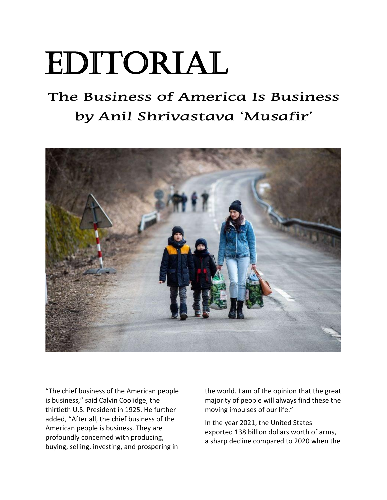## Editorial

## **The Business of America Is Business by Anil Shrivastava 'Musafir'**



"The chief business of the American people is business," said Calvin Coolidge, the thirtieth U.S. President in 1925. He further added, "After all, the chief business of the American people is business. They are profoundly concerned with producing, buying, selling, investing, and prospering in the world. I am of the opinion that the great majority of people will always find these the moving impulses of our life."

In the year 2021, the United States exported 138 billion dollars worth of arms, a sharp decline compared to 2020 when the